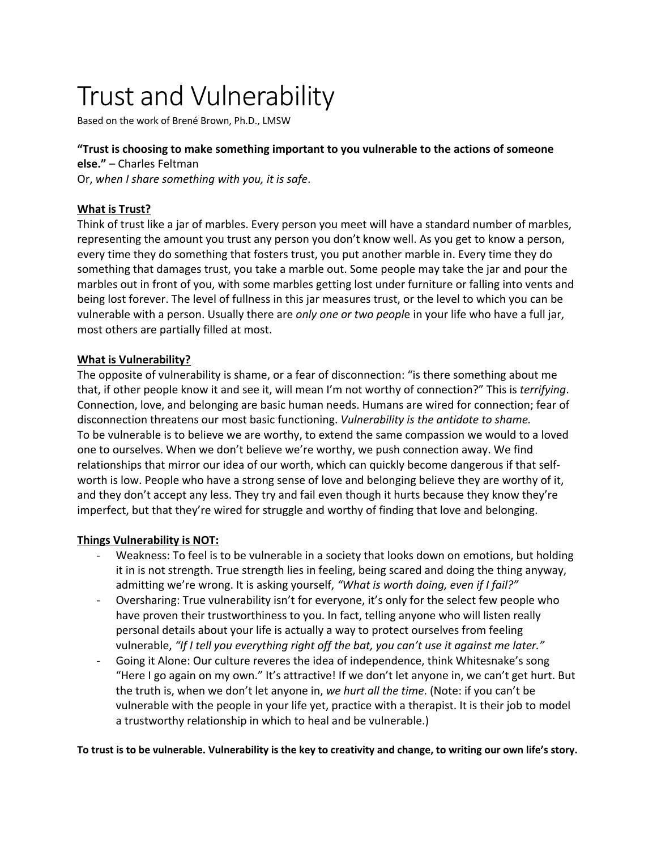# Trust and Vulnerability

Based on the work of Brené Brown, Ph.D., LMSW

### **"Trust is choosing to make something important to you vulnerable to the actions of someone**

**else."** – Charles Feltman Or, *when I share something with you, it is safe*.

## **What is Trust?**

Think of trust like a jar of marbles. Every person you meet will have a standard number of marbles, representing the amount you trust any person you don't know well. As you get to know a person, every time they do something that fosters trust, you put another marble in. Every time they do something that damages trust, you take a marble out. Some people may take the jar and pour the marbles out in front of you, with some marbles getting lost under furniture or falling into vents and being lost forever. The level of fullness in this jar measures trust, or the level to which you can be vulnerable with a person. Usually there are *only one or two peopl*e in your life who have a full jar, most others are partially filled at most.

#### **What is Vulnerability?**

The opposite of vulnerability is shame, or a fear of disconnection: "is there something about me that, if other people know it and see it, will mean I'm not worthy of connection?" This is *terrifying*. Connection, love, and belonging are basic human needs. Humans are wired for connection; fear of disconnection threatens our most basic functioning. *Vulnerability is the antidote to shame.* To be vulnerable is to believe we are worthy, to extend the same compassion we would to a loved one to ourselves. When we don't believe we're worthy, we push connection away. We find relationships that mirror our idea of our worth, which can quickly become dangerous if that selfworth is low. People who have a strong sense of love and belonging believe they are worthy of it, and they don't accept any less. They try and fail even though it hurts because they know they're imperfect, but that they're wired for struggle and worthy of finding that love and belonging.

#### **Things Vulnerability is NOT:**

- Weakness: To feel is to be vulnerable in a society that looks down on emotions, but holding it in is not strength. True strength lies in feeling, being scared and doing the thing anyway, admitting we're wrong. It is asking yourself, *"What is worth doing, even if I fail?"*
- Oversharing: True vulnerability isn't for everyone, it's only for the select few people who have proven their trustworthiness to you. In fact, telling anyone who will listen really personal details about your life is actually a way to protect ourselves from feeling vulnerable, *"If I tell you everything right off the bat, you can't use it against me later."*
- Going it Alone: Our culture reveres the idea of independence, think Whitesnake's song "Here I go again on my own." It's attractive! If we don't let anyone in, we can't get hurt. But the truth is, when we don't let anyone in, *we hurt all the time*. (Note: if you can't be vulnerable with the people in your life yet, practice with a therapist. It is their job to model a trustworthy relationship in which to heal and be vulnerable.)

**To trust is to be vulnerable. Vulnerability is the key to creativity and change, to writing our own life's story.**